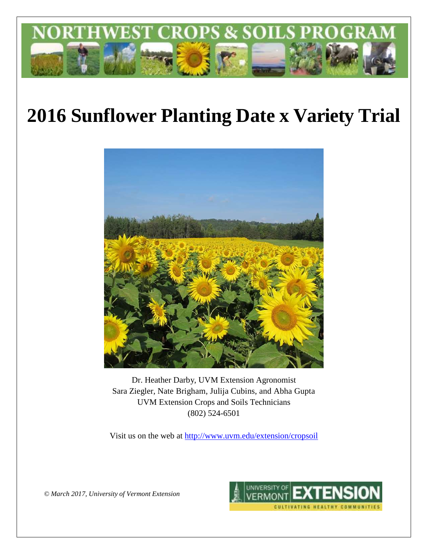

# **2016 Sunflower Planting Date x Variety Trial**



Dr. Heather Darby, UVM Extension Agronomist Sara Ziegler, Nate Brigham, Julija Cubins, and Abha Gupta UVM Extension Crops and Soils Technicians (802) 524-6501

Visit us on the web at<http://www.uvm.edu/extension/cropsoil>

*© March 2017, University of Vermont Extension*

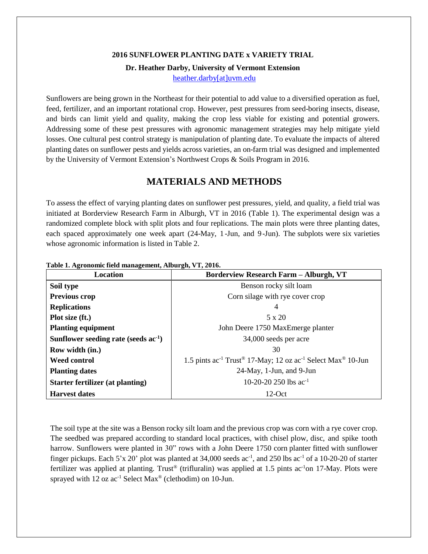#### **2016 SUNFLOWER PLANTING DATE x VARIETY TRIAL**

#### **Dr. Heather Darby, University of Vermont Extension**

[heather.darby\[at\]uvm.edu](mailto:heather.darby@uvm.edu)

Sunflowers are being grown in the Northeast for their potential to add value to a diversified operation as fuel, feed, fertilizer, and an important rotational crop. However, pest pressures from seed-boring insects, disease, and birds can limit yield and quality, making the crop less viable for existing and potential growers. Addressing some of these pest pressures with agronomic management strategies may help mitigate yield losses. One cultural pest control strategy is manipulation of planting date. To evaluate the impacts of altered planting dates on sunflower pests and yields across varieties, an on-farm trial was designed and implemented by the University of Vermont Extension's Northwest Crops & Soils Program in 2016.

# **MATERIALS AND METHODS**

To assess the effect of varying planting dates on sunflower pest pressures, yield, and quality, a field trial was initiated at Borderview Research Farm in Alburgh, VT in 2016 (Table 1). The experimental design was a randomized complete block with split plots and four replications. The main plots were three planting dates, each spaced approximately one week apart (24-May, 1 -Jun, and 9 -Jun). The subplots were six varieties whose agronomic information is listed in Table 2.

| <b>Location</b>                           | <b>Borderview Research Farm - Alburgh, VT</b>                                                               |  |  |
|-------------------------------------------|-------------------------------------------------------------------------------------------------------------|--|--|
| Soil type                                 | Benson rocky silt loam                                                                                      |  |  |
| <b>Previous crop</b>                      | Corn silage with rye cover crop                                                                             |  |  |
| <b>Replications</b>                       | 4                                                                                                           |  |  |
| Plot size (ft.)                           | $5 \times 20$                                                                                               |  |  |
| <b>Planting equipment</b>                 | John Deere 1750 MaxEmerge planter                                                                           |  |  |
| Sunflower seeding rate (seeds $ac^{-1}$ ) | 34,000 seeds per acre                                                                                       |  |  |
| Row width (in.)                           | 30                                                                                                          |  |  |
| Weed control                              | 1.5 pints ac <sup>-1</sup> Trust <sup>®</sup> 17-May; 12 oz ac <sup>-1</sup> Select Max <sup>®</sup> 10-Jun |  |  |
| <b>Planting dates</b>                     | 24-May, 1-Jun, and 9-Jun                                                                                    |  |  |
| <b>Starter fertilizer (at planting)</b>   | 10-20-20 250 lbs $ac^{-1}$                                                                                  |  |  |
| <b>Harvest dates</b>                      | $12-Oct$                                                                                                    |  |  |

#### **Table 1. Agronomic field management, Alburgh, VT, 2016.**

The soil type at the site was a Benson rocky silt loam and the previous crop was corn with a rye cover crop. The seedbed was prepared according to standard local practices, with chisel plow, disc, and spike tooth harrow. Sunflowers were planted in 30" rows with a John Deere 1750 corn planter fitted with sunflower finger pickups. Each 5'x 20' plot was planted at 34,000 seeds ac<sup>-1</sup>, and 250 lbs ac<sup>-1</sup> of a 10-20-20 of starter fertilizer was applied at planting. Trust<sup>®</sup> (trifluralin) was applied at 1.5 pints ac<sup>-1</sup>on 17-May. Plots were sprayed with 12 oz  $ac^{-1}$  Select Max<sup>®</sup> (clethodim) on 10-Jun.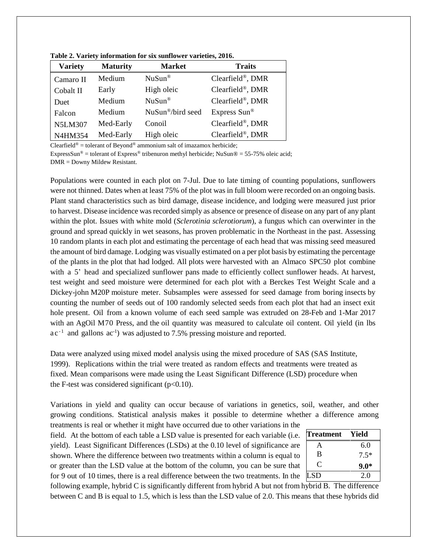| <b>Variety</b> | <b>Maturity</b> | <b>Market</b>                 | <b>Traits</b>    |
|----------------|-----------------|-------------------------------|------------------|
| Camaro II      | Medium          | $NuSun^{\circledR}$           | Clearfield®, DMR |
| Cobalt II      | Early           | High oleic                    | Clearfield®, DMR |
| Duet           | Medium          | $NuSun^{\circledR}$           | Clearfield®, DMR |
| Falcon         | Medium          | NuSun <sup>®</sup> /bird seed | Express Sun®     |
| <b>N5LM307</b> | Med-Early       | Conoil                        | Clearfield®, DMR |
| N4HM354        | Med-Early       | High oleic                    | Clearfield®, DMR |

**Table 2. Variety information for six sunflower varieties, 2016.**

Clearfield<sup>®</sup> = tolerant of Beyond<sup>®</sup> ammonium salt of imazamox herbicide;

ExpressSun<sup>®</sup> = tolerant of Express<sup>®</sup> tribenuron methyl herbicide; NuSun® = 55-75% oleic acid; DMR = Downy Mildew Resistant.

Populations were counted in each plot on 7-Jul. Due to late timing of counting populations, sunflowers were not thinned. Dates when at least 75% of the plot was in full bloom were recorded on an ongoing basis. Plant stand characteristics such as bird damage, disease incidence, and lodging were measured just prior to harvest. Disease incidence was recorded simply as absence or presence of disease on any part of any plant within the plot. Issues with white mold (*Sclerotinia sclerotiorum*), a fungus which can overwinter in the ground and spread quickly in wet seasons, has proven problematic in the Northeast in the past. Assessing 10 random plants in each plot and estimating the percentage of each head that was missing seed measured the amount of bird damage. Lodging was visually estimated on a per plot basis by estimating the percentage of the plants in the plot that had lodged. All plots were harvested with an Almaco SPC50 plot combine with a 5' head and specialized sunflower pans made to efficiently collect sunflower heads. At harvest, test weight and seed moisture were determined for each plot with a Berckes Test Weight Scale and a Dickey-john M20P moisture meter. Subsamples were assessed for seed damage from boring insects by counting the number of seeds out of 100 randomly selected seeds from each plot that had an insect exit hole present. Oil from a known volume of each seed sample was extruded on 28-Feb and 1-Mar 2017 with an AgOil M70 Press, and the oil quantity was measured to calculate oil content. Oil yield (in lbs  $ac^{-1}$  and gallons  $ac^{-1}$ ) was adjusted to 7.5% pressing moisture and reported.

Data were analyzed using mixed model analysis using the mixed procedure of SAS (SAS Institute, 1999). Replications within the trial were treated as random effects and treatments were treated as fixed. Mean comparisons were made using the Least Significant Difference (LSD) procedure when the F-test was considered significant  $(p<0.10)$ .

Variations in yield and quality can occur because of variations in genetics, soil, weather, and other growing conditions. Statistical analysis makes it possible to determine whether a difference among

treatments is real or whether it might have occurred due to other variations in the field. At the bottom of each table a LSD value is presented for each variable (i.e. yield). Least Significant Differences (LSDs) at the 0.10 level of significance are shown. Where the difference between two treatments within a column is equal to or greater than the LSD value at the bottom of the column, you can be sure that for 9 out of 10 times, there is a real difference between the two treatments. In the

| <b>Treatment</b> | Yield  |
|------------------|--------|
| А                | 6.0    |
| B                | $7.5*$ |
| C                | $9.0*$ |
| <b>LSD</b>       | 2.0    |

following example, hybrid C is significantly different from hybrid A but not from hybrid B. The difference between C and B is equal to 1.5, which is less than the LSD value of 2.0. This means that these hybrids did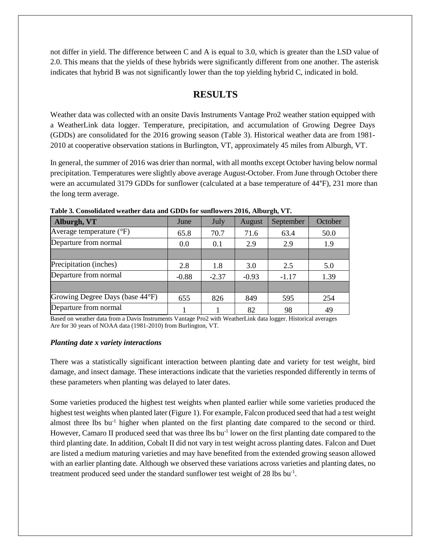not differ in yield. The difference between C and A is equal to 3.0, which is greater than the LSD value of 2.0. This means that the yields of these hybrids were significantly different from one another. The asterisk indicates that hybrid B was not significantly lower than the top yielding hybrid C, indicated in bold.

# **RESULTS**

Weather data was collected with an onsite Davis Instruments Vantage Pro2 weather station equipped with a WeatherLink data logger. Temperature, precipitation, and accumulation of Growing Degree Days (GDDs) are consolidated for the 2016 growing season (Table 3). Historical weather data are from 1981- 2010 at cooperative observation stations in Burlington, VT, approximately 45 miles from Alburgh, VT.

In general, the summer of 2016 was drier than normal, with all months except October having below normal precipitation. Temperatures were slightly above average August-October. From June through October there were an accumulated 3179 GDDs for sunflower (calculated at a base temperature of 44°F), 231 more than the long term average.

| Alburgh, VT                       | June    | July    | August  | September | October |
|-----------------------------------|---------|---------|---------|-----------|---------|
| Average temperature $(^{\circ}F)$ | 65.8    | 70.7    | 71.6    | 63.4      | 50.0    |
| Departure from normal             | 0.0     | 0.1     | 2.9     | 2.9       | 1.9     |
|                                   |         |         |         |           |         |
| Precipitation (inches)            | 2.8     | 1.8     | 3.0     | 2.5       | 5.0     |
| Departure from normal             | $-0.88$ | $-2.37$ | $-0.93$ | $-1.17$   | 1.39    |
|                                   |         |         |         |           |         |
| Growing Degree Days (base 44°F)   | 655     | 826     | 849     | 595       | 254     |
| Departure from normal             |         |         | 82      | 98        | 49      |

**Table 3. Consolidated weather data and GDDs for sunflowers 2016, Alburgh, VT.**

Based on weather data from a Davis Instruments Vantage Pro2 with WeatherLink data logger. Historical averages Are for 30 years of NOAA data (1981-2010) from Burlington, VT.

#### *Planting date x variety interactions*

There was a statistically significant interaction between planting date and variety for test weight, bird damage, and insect damage. These interactions indicate that the varieties responded differently in terms of these parameters when planting was delayed to later dates.

Some varieties produced the highest test weights when planted earlier while some varieties produced the highest test weights when planted later (Figure 1). For example, Falcon produced seed that had a test weight almost three lbs bu<sup>-1</sup> higher when planted on the first planting date compared to the second or third. However, Camaro II produced seed that was three lbs bu<sup>-1</sup> lower on the first planting date compared to the third planting date. In addition, Cobalt II did not vary in test weight across planting dates. Falcon and Duet are listed a medium maturing varieties and may have benefited from the extended growing season allowed with an earlier planting date. Although we observed these variations across varieties and planting dates, no treatment produced seed under the standard sunflower test weight of 28 lbs bu<sup>-1</sup>.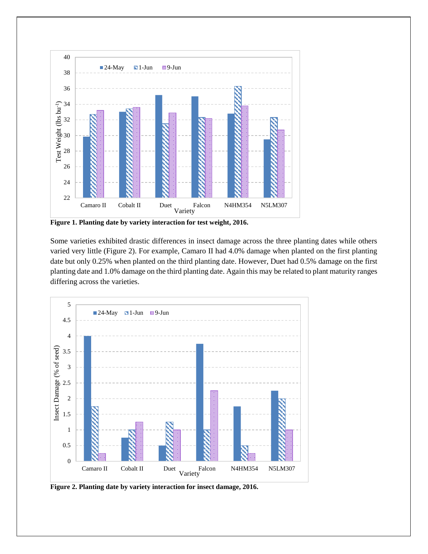

**Figure 1. Planting date by variety interaction for test weight, 2016.**

Some varieties exhibited drastic differences in insect damage across the three planting dates while others varied very little (Figure 2). For example, Camaro II had 4.0% damage when planted on the first planting date but only 0.25% when planted on the third planting date. However, Duet had 0.5% damage on the first planting date and 1.0% damage on the third planting date. Again this may be related to plant maturity ranges differing across the varieties.



**Figure 2. Planting date by variety interaction for insect damage, 2016.**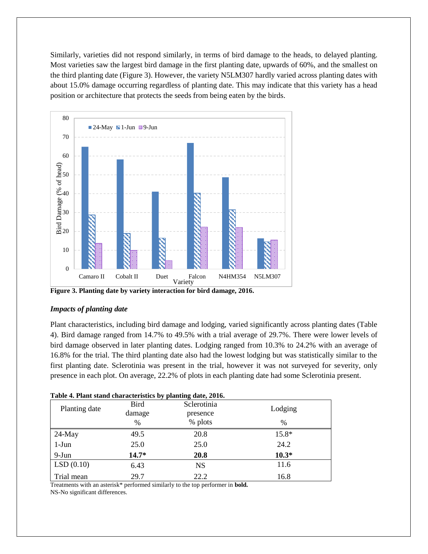Similarly, varieties did not respond similarly, in terms of bird damage to the heads, to delayed planting. Most varieties saw the largest bird damage in the first planting date, upwards of 60%, and the smallest on the third planting date (Figure 3). However, the variety N5LM307 hardly varied across planting dates with about 15.0% damage occurring regardless of planting date. This may indicate that this variety has a head position or architecture that protects the seeds from being eaten by the birds.



**Figure 3. Planting date by variety interaction for bird damage, 2016.**

#### *Impacts of planting date*

Plant characteristics, including bird damage and lodging, varied significantly across planting dates (Table 4). Bird damage ranged from 14.7% to 49.5% with a trial average of 29.7%. There were lower levels of bird damage observed in later planting dates. Lodging ranged from 10.3% to 24.2% with an average of 16.8% for the trial. The third planting date also had the lowest lodging but was statistically similar to the first planting date. Sclerotinia was present in the trial, however it was not surveyed for severity, only presence in each plot. On average, 22.2% of plots in each planting date had some Sclerotinia present.

|               | Table 4. I failt stand characteristics by planting date, 2010. |             |               |  |  |
|---------------|----------------------------------------------------------------|-------------|---------------|--|--|
| Planting date | Bird                                                           | Sclerotinia | Lodging       |  |  |
|               | damage                                                         | presence    |               |  |  |
|               | $\%$                                                           | % plots     | $\frac{0}{0}$ |  |  |
| $24$ -May     | 49.5                                                           | 20.8        | 15.8*         |  |  |
| $1-J$ un      | 25.0                                                           | 25.0        | 24.2          |  |  |
| 9-Jun         | $14.7*$                                                        | <b>20.8</b> | $10.3*$       |  |  |
| LSD(0.10)     | 6.43                                                           | <b>NS</b>   | 11.6          |  |  |
| Trial mean    | 29.7                                                           | 22.2        | 16.8          |  |  |

| Table 4. Plant stand characteristics by planting date, 2016. |  |  |
|--------------------------------------------------------------|--|--|
|                                                              |  |  |

Treatments with an asterisk\* performed similarly to the top performer in **bold.** NS-No significant differences.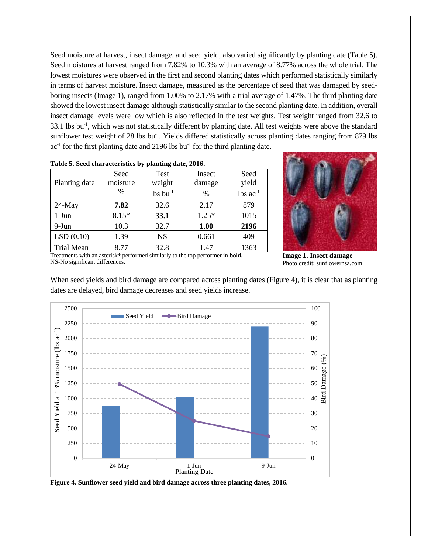Seed moisture at harvest, insect damage, and seed yield, also varied significantly by planting date (Table 5). Seed moistures at harvest ranged from 7.82% to 10.3% with an average of 8.77% across the whole trial. The lowest moistures were observed in the first and second planting dates which performed statistically similarly in terms of harvest moisture. Insect damage, measured as the percentage of seed that was damaged by seedboring insects (Image 1), ranged from 1.00% to 2.17% with a trial average of 1.47%. The third planting date showed the lowest insect damage although statistically similar to the second planting date. In addition, overall insect damage levels were low which is also reflected in the test weights. Test weight ranged from 32.6 to 33.1 lbs bu<sup>-1</sup>, which was not statistically different by planting date. All test weights were above the standard sunflower test weight of 28 lbs bu<sup>-1</sup>. Yields differed statistically across planting dates ranging from 879 lbs  $ac<sup>-1</sup>$  for the first planting date and 2196 lbs bu<sup>-1</sup> for the third planting date.

| Table 5. Seed characteristics by planting date, 2010. |          |                  |         |               |  |
|-------------------------------------------------------|----------|------------------|---------|---------------|--|
|                                                       | Seed     | Test             | Insect  | Seed          |  |
| Planting date                                         | moisture | weight           | damage  | yield         |  |
|                                                       | $\%$     | $lbs$ bu $^{-1}$ | $\%$    | lbs $ac^{-1}$ |  |
| $24$ -May                                             | 7.82     | 32.6             | 2.17    | 879           |  |
| $1-J$ un                                              | $8.15*$  | 33.1             | $1.25*$ | 1015          |  |
| 9-Jun                                                 | 10.3     | 32.7             | 1.00    | 2196          |  |
| LSD(0.10)                                             | 1.39     | <b>NS</b>        | 0.661   | 409           |  |
| <b>Trial Mean</b>                                     | 8.77     | 32.8             | 1.47    | 1363          |  |

**Table 5. Seed characteristics by planting date, 2016.**

Treatments with an asterisk\* performed similarly to the top performer in **bold.** NS-No significant differences.

**Image 1. Insect damage** Photo credit: sunflowernsa.com

When seed yields and bird damage are compared across planting dates (Figure 4), it is clear that as planting dates are delayed, bird damage decreases and seed yields increase.



**Figure 4. Sunflower seed yield and bird damage across three planting dates, 2016.**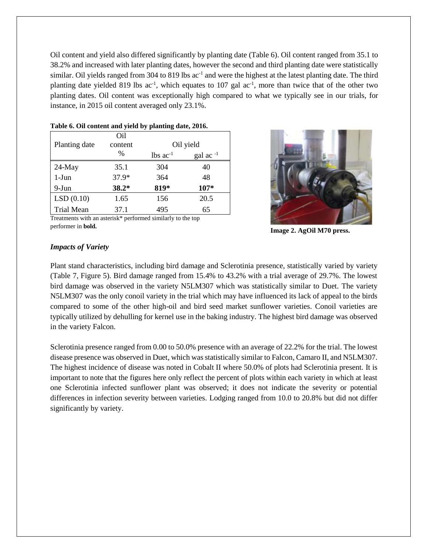Oil content and yield also differed significantly by planting date (Table 6). Oil content ranged from 35.1 to 38.2% and increased with later planting dates, however the second and third planting date were statistically similar. Oil yields ranged from 304 to 819 lbs ac<sup>-1</sup> and were the highest at the latest planting date. The third planting date yielded 819 lbs  $ac^{-1}$ , which equates to 107 gal  $ac^{-1}$ , more than twice that of the other two planting dates. Oil content was exceptionally high compared to what we typically see in our trials, for instance, in 2015 oil content averaged only 23.1%.

|                   | Oil     |                        |                |
|-------------------|---------|------------------------|----------------|
| Planting date     | content | Oil yield              |                |
|                   | $\%$    | $lbs$ ac <sup>-1</sup> | gal ac $^{-1}$ |
| 24-May            | 35.1    | 304                    | 40             |
| $1-J$ un          | 37.9*   | 364                    | 48             |
| 9-Jun             | $38.2*$ | 819*                   | $107*$         |
| LSD(0.10)         | 1.65    | 156                    | 20.5           |
| <b>Trial Mean</b> | 37.1    | 495                    | 65             |

#### **Table 6. Oil content and yield by planting date, 2016.**



Treatments with an asterisk\* performed similarly to the top performer in **bold.**

**Image 2. AgOil M70 press.**

#### *Impacts of Variety*

Plant stand characteristics, including bird damage and Sclerotinia presence, statistically varied by variety (Table 7, Figure 5). Bird damage ranged from 15.4% to 43.2% with a trial average of 29.7%. The lowest bird damage was observed in the variety N5LM307 which was statistically similar to Duet. The variety N5LM307 was the only conoil variety in the trial which may have influenced its lack of appeal to the birds compared to some of the other high-oil and bird seed market sunflower varieties. Conoil varieties are typically utilized by dehulling for kernel use in the baking industry. The highest bird damage was observed in the variety Falcon.

Sclerotinia presence ranged from 0.00 to 50.0% presence with an average of 22.2% for the trial. The lowest disease presence was observed in Duet, which was statistically similar to Falcon, Camaro II, and N5LM307. The highest incidence of disease was noted in Cobalt II where 50.0% of plots had Sclerotinia present. It is important to note that the figures here only reflect the percent of plots within each variety in which at least one Sclerotinia infected sunflower plant was observed; it does not indicate the severity or potential differences in infection severity between varieties. Lodging ranged from 10.0 to 20.8% but did not differ significantly by variety.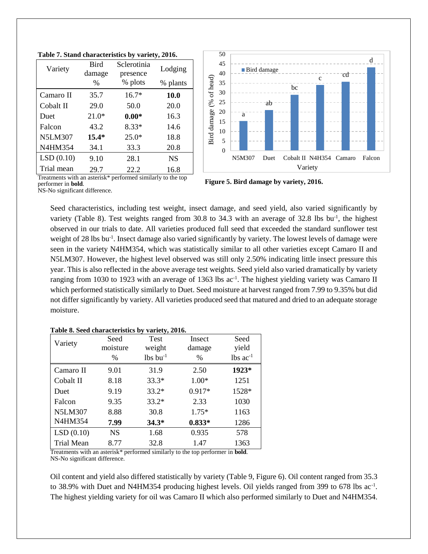| Variety        | <b>Bird</b><br>damage | Sclerotinia<br>presence | Lodging   |
|----------------|-----------------------|-------------------------|-----------|
|                | $\%$                  | % plots                 | % plants  |
| Camaro II      | 35.7                  | $16.7*$                 | 10.0      |
| Cobalt II      | 29.0                  | 50.0                    | 20.0      |
| Duet           | $21.0*$               | $0.00*$                 | 16.3      |
| Falcon         | 43.2                  | $8.33*$                 | 14.6      |
| <b>N5LM307</b> | $15.4*$               | $25.0*$                 | 18.8      |
| N4HM354        | 34.1                  | 33.3                    | 20.8      |
| LSD(0.10)      | 9.10                  | 28.1                    | <b>NS</b> |
| Trial mean     | 29.7                  | 22.2                    | 16.8      |



Bird damage (% of head) Bird damage (% 15 10 5 0 N5M307 Duet Cobalt II N4H354 Camaro Falcon Variety

cd

d

Treatments with an asterisk\* performed similarly to the top performer in **bold**.

**Figure 5. Bird damage by variety, 2016.**

NS-No significant difference.

Seed characteristics, including test weight, insect damage, and seed yield, also varied significantly by variety (Table 8). Test weights ranged from 30.8 to 34.3 with an average of 32.8 lbs bu<sup>-1</sup>, the highest observed in our trials to date. All varieties produced full seed that exceeded the standard sunflower test weight of 28 lbs bu<sup>-1</sup>. Insect damage also varied significantly by variety. The lowest levels of damage were seen in the variety N4HM354, which was statistically similar to all other varieties except Camaro II and N5LM307. However, the highest level observed was still only 2.50% indicating little insect pressure this year. This is also reflected in the above average test weights. Seed yield also varied dramatically by variety ranging from 1030 to 1923 with an average of 1363 lbs ac<sup>-1</sup>. The highest yielding variety was Camaro II which performed statistically similarly to Duet. Seed moisture at harvest ranged from 7.99 to 9.35% but did not differ significantly by variety. All varieties produced seed that matured and dried to an adequate storage moisture.

| Table 8. Seed characteristics by variety, 2016. |
|-------------------------------------------------|
|-------------------------------------------------|

| Variety        | Seed<br>moisture | <b>Test</b><br>weight  | Insect<br>damage | Seed<br>yield          |
|----------------|------------------|------------------------|------------------|------------------------|
|                | $\%$             | $lbs$ bu <sup>-1</sup> | $\%$             | $lbs$ ac <sup>-1</sup> |
|                |                  |                        |                  |                        |
| Camaro II      | 9.01             | 31.9                   | 2.50             | 1923*                  |
| Cobalt II      | 8.18             | $33.3*$                | 1.00*            | 1251                   |
| Duet           | 9.19             | $33.2*$                | 0.917*           | 1528*                  |
| Falcon         | 9.35             | $33.2*$                | 2.33             | 1030                   |
| <b>N5LM307</b> | 8.88             | 30.8                   | $1.75*$          | 1163                   |
| N4HM354        | 7.99             | $34.3*$                | $0.833*$         | 1286                   |
| LSD(0.10)      | <b>NS</b>        | 1.68                   | 0.935            | 578                    |
| Trial Mean     | 8.77             | 32.8                   | 1.47             | 1363                   |

Treatments with an asterisk\* performed similarly to the top performer in **bold**. NS-No significant difference.

Oil content and yield also differed statistically by variety (Table 9, Figure 6). Oil content ranged from 35.3 to 38.9% with Duet and N4HM354 producing highest levels. Oil yields ranged from 399 to 678 lbs  $ac^{-1}$ . The highest yielding variety for oil was Camaro II which also performed similarly to Duet and N4HM354.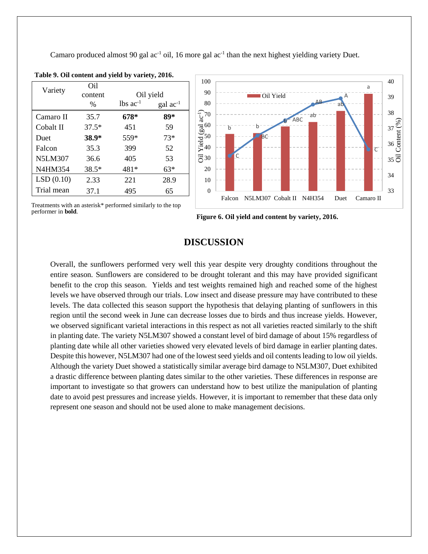Camaro produced almost 90 gal  $ac^{-1}$  oil, 16 more gal  $ac^{-1}$  than the next highest yielding variety Duet.

| Variety        | Oil<br>content |                        | Oil yield         |
|----------------|----------------|------------------------|-------------------|
|                | $\frac{0}{0}$  | $lbs$ ac <sup>-1</sup> | $\rm gal~ac^{-1}$ |
| Camaro II      | 35.7           | 678*                   | 89*               |
| Cobalt II      | $37.5*$        | 451                    | 59                |
| Duet           | 38.9*          | 559*                   | $73*$             |
| Falcon         | 35.3           | 399                    | 52                |
| <b>N5LM307</b> | 36.6           | 405                    | 53                |
| N4HM354        | 38.5*          | 481*                   | 63*               |
| LSD(0.10)      | 2.33           | 221                    | 28.9              |
| Trial mean     | 37.1           | 495                    | 65                |

**Table 9. Oil content and yield by variety, 2016.**



Treatments with an asterisk\* performed similarly to the top performer in **bold**.



### **DISCUSSION**

Overall, the sunflowers performed very well this year despite very droughty conditions throughout the entire season. Sunflowers are considered to be drought tolerant and this may have provided significant benefit to the crop this season. Yields and test weights remained high and reached some of the highest levels we have observed through our trials. Low insect and disease pressure may have contributed to these levels. The data collected this season support the hypothesis that delaying planting of sunflowers in this region until the second week in June can decrease losses due to birds and thus increase yields. However, we observed significant varietal interactions in this respect as not all varieties reacted similarly to the shift in planting date. The variety N5LM307 showed a constant level of bird damage of about 15% regardless of planting date while all other varieties showed very elevated levels of bird damage in earlier planting dates. Despite this however, N5LM307 had one of the lowest seed yields and oil contents leading to low oil yields. Although the variety Duet showed a statistically similar average bird damage to N5LM307, Duet exhibited a drastic difference between planting dates similar to the other varieties. These differences in response are important to investigate so that growers can understand how to best utilize the manipulation of planting date to avoid pest pressures and increase yields. However, it is important to remember that these data only represent one season and should not be used alone to make management decisions.